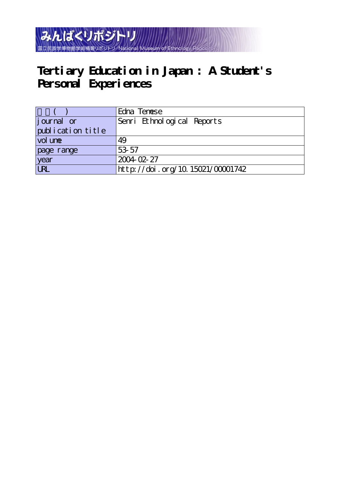

# **Tertiary Education in Japan : A Student's** Personal Experiences

|                   | Edna Tenese                      |
|-------------------|----------------------------------|
| journal or        | Senri Ethnological Reports       |
| publication title |                                  |
| vol une           | 49                               |
| page range        | 53-57                            |
| year              | 2004 02 27                       |
| URL               | http://doi.org/10.15021/00001742 |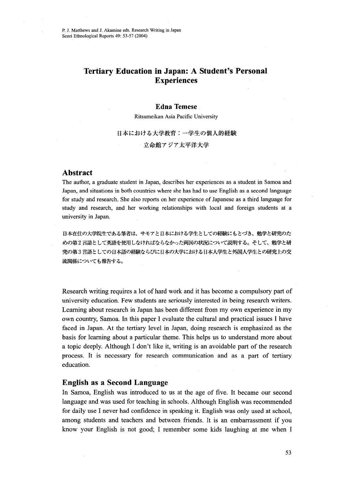## Tertiary Education in Japan: A Student's Personal **Experiences**

### **Edna Temese**

Ritsumeikan Asia Pacific University

日本における大学教育:一学生の個人的経験 立命館アジア太平洋大学

#### Abstract

The author, a graduate student in Japan, describes her experiences as a student in Samoa and Japan, and situations in both countries where she has had to use English as a second language for study and research. She also reports on her experience of Japanese as a third language for study and research, and her working relationships with local and foreign students at a university in Japan.

日本在住の大学院生である筆者は、サモアと日本における学生としての経験にもとづき、勉学と研究のた めの第2言語として英語を使用しなければならなかった両国の状況について説明する。そして、勉学と研 究の第3言語としての日本語の経験ならびに日本の大学における日本人学生と外国人学生との研究上の交 流関係についても報告する。

Research writing requires a lot of hard work and it has become a compulsory part of university education. Few students are seriously interested in being research writers. Learning about research in Japan has been different from my own experience in my own country, Samoa. In this paper I evaluate the cultural and practical issues I have faced in Japan. At the tertiary level in Japan, doing research is emphasized as the basis for learning about a particular theme. This helps us to understand more about a topic deeply. Although I don't like it, writing is an avoidable part of the research process. It is necessary for research communication and as a part of tertiary education.

#### English as a Second Language

In Samoa, English was introduced to us at the age of five. It became our second language and was used for teaching in schools. Although English was recommended for daily use I never had confidence in speaking it. English was only used at school, among students and teachers and between friends. It is an embarrassment if you know your English is not good; I remember some kids laughing at me when I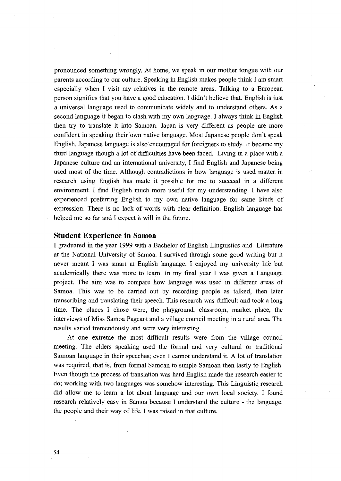pronounced something wrongly. At home, we speak in our mother tongue with our parents according to our culture. Speaking in English makes people think I am smart especially when I visit my relatives in the remote areas. Talking to a European person signifies that you have a good education. I didn't believe that. English is just a universal language used to communicate widely and to understand others. As a second language it began to clash with my own language. I always think in English then try to translate it into Samoan. Japan is very different as people are more confident in speaking their 'own native language. Most Japanese people don't speak English. Japanese language is also encouraged for foreigners to study. It became my third language though a lot of difficulties have been faced. Living in a place with a Japanese culture and an international university, I find English and Japanese being used most of the time. Although contradictions in how language is used matter in research using English has made it possible for me to succeed in a different environment. I find English much more useful for my understanding. I have also experienced preferring English to my own native language for same kinds of expression. There is no lack of words with clear definition. English language has helped me so far and I expect it will in the future.

#### Student Experience in Samoa

I graduated in the year 1999 with a Bachelor of English Linguistics and Literature at the National University of Samoa. I survived through some good writing but it never meant I was smart at English language. I eajoyed my university life but academically there was more to learn. In my final year I was given a Language project. The aim was to compare how language was used in different areas of Samoa. This was to be carried out by recording people as talked, then later transcribing and translating their speech. This research was difficult and took a Iong time. The places I chose were, the playground, classroom, market place, the interviews of Miss Samoa Pageant and a village council meeting in a rural area. The results varied tremendously and were very interesting.

 At one extreme the most difficult results were from the village council meeting. The elders speaking used the formal and very cultural or traditional Samoan language in their speeches; even I cannot understand it. A lot of translation was required, that is, from formal Samoan to simple Samoan then lastly to English. Even though the process of translation was hard English made the research easier to do; working with two languages was somehow interesting. This Linguistic research did allow me to learn a lot about language and our own local society. I found research relatively easy in Samoa because I understand the culture - the language, the people and their way of life. I was raised in that culture.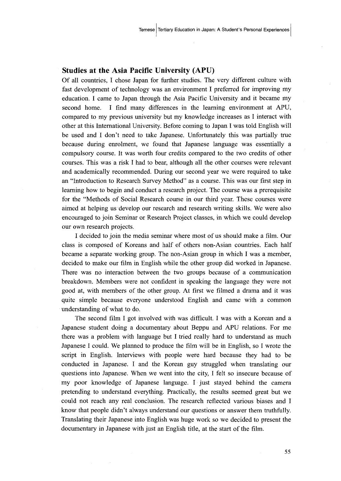#### Studies at the Asia Pacific University (APU)

Of all countries, I chose Japan for further studies. The very different culture with fast development of technology was an environment I preferred for improving my education. I came to Japan through the Asia Pacific University and it became my second home. I find many differences in the leaming environment at APU, compared to my previous university but my knowledge increases as I interact with other at this International University. Before coming to Japan I was told English will be used and I don't need to take Japanese. Unfortunately this was partially tme because during enrolment, we found that Japanese language was essentially a compulsory course. It was worth four credits compared to the two credits of other courses. This was a risk I had to bear, although all the other courses were relevant and academically recommended. During our second year we were required to take an "Introduction to Research Survey Method" as a course. This was our first step in learning how to 'begin and conduct a research project. The course was a prerequisite for the "Methods of Social Research course in our third year. These courses were aimed at helping us'develop our research and research writing skills. We were also encouraged to join Seminar or Research Preject classes, in which we could develop our own research projects.

I decided to join the media seminar where most of us should make a film. Our class is composed of Koreans and half of others non-Asian countries. Each half became a separate working group. The non-Asian group in which I was a member, decided to make our film in English while the other group did worked in Japanese. There was no interaction between the two groups because of a communication breakdown. Members were not confident in speaking the language they were not good at, with members of the other group. At first we filmed a drama and it was quite simple because everyone understood English and came with a common understanding of what to do.

 The second film I got involved with was difficult. I was with a Korean and a Japanese student doing a documentary about Beppu and APU relations. For me there was a problem with language but I tried really hard to understand as much Japanese I could. We planned to produce the film will be in English, so I wrote the script in English. Interviews with people were hard because they had to be conducted in Japanese. I and the Korean guy struggled when translating our questions into Japanese. When we went into the city, I felt so insecure because of my poor knowledge of Japanese language. I・just stayed behind the camera pretending to understand everything. Practically, the results seemed great but we could not reach any real conclusion. The research refiected various-biases and I know that people didn't always understand our questions or answer them truthfu11y. Translating their Japanese into English was huge work so we decided to present the documentary in Japanese with just an English title, at the start of the film.

55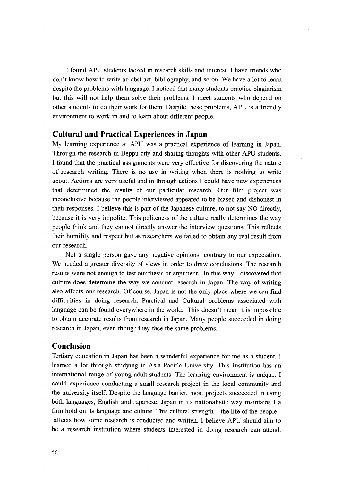I fbund APU students lacked in research skills and interest. I have friends who don't know how to write an abstract, bibliography, and so on. We have a lot to leam despite the problems with language. I noticed that many students practice plagiarism but this will not help them solve their problems. I meet students who depend on other students to do their work for them. Despite these problems, APU is a friendly environment to work in and to learn about different people.

#### Cultural and Practical Experiences in Japan

My learning experience at APU was a practical experience of learning in Japan. Through the research in Beppu city and sharing thoughts with other APU students, I found that the practical assignments were very effective for discovering the nature of research writing. There is no use in writing when there is nothing to write about. Actions are very useful and in through actions I could have new experiences that determined the results of our particular research. Our film project was inconclusive because the people interviewed appeared to be biased and dishonest in their responses. I believe this is part of the Japanese culture, to not say NO directly, because it is very impolite. This politeness of the culture really determines the way people think and they cannot directly answer the interview questions. This reflects their humility and respect but as researchers we failed to obtain any real result from our research.

 Not a single person gave any negative opinions, contrary to our expectation. We needed a greater diversity of views in order to draw conclusions. The research results were not enough to test our thesis or argument. In this way I discovered that culture does determine the way we conduct research in Japan. The way of writing also affects our research. Of course, Japan is not the only place where we can find difficulties in doing research. Practical and Cultural problems associated with language can be found everywhere in the world. This doesn't mean it is impossible to obtain accurate results from research in Japan. Many people succeeded in doing research in Japan, even though they face the same problems.

#### Conclusion

Tertiary education in Japan has been a wonderfu1 experience for me as a student. I learned a lot through studying in Asia Pacific University. This Institution has an international range of young adult students. The learning environment is unique. I could experience conducting a small research project in the local community and the university itself. Despite the language barrier, most projects succeeded in using both languages, English and Japanese. Japan in its nationalistic way maintains I a firm hold on its language and culture. This cultural strength - the life of the people affects how some research is conducted and written. I believe APU should aim to be a research institution where students interested in doing research can attend.